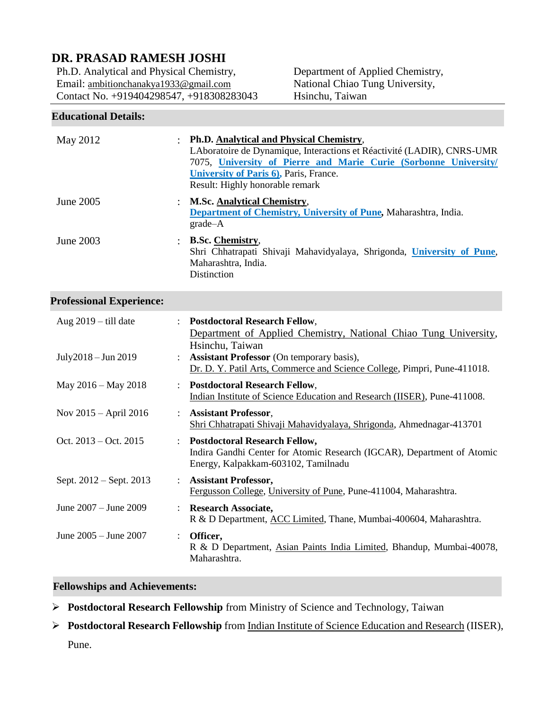# **DR. PRASAD RAMESH JOSHI**

Ph.D. Analytical and Physical Chemistry, Email: [ambitionchanakya1933@gmail.com](mailto:ambitionchanakya1933@gmail.com) Contact No. +919404298547, +918308283043

Department of Applied Chemistry, National Chiao Tung University, Hsinchu, Taiwan

## **Educational Details:**

| May 2012         | Ph.D. Analytical and Physical Chemistry,<br>LAboratoire de Dynamique, Interactions et Réactivité (LADIR), CNRS-UMR<br>7075, University of Pierre and Marie Curie (Sorbonne University/<br>University of Paris 6), Paris, France.<br>Result: Highly honorable remark |
|------------------|---------------------------------------------------------------------------------------------------------------------------------------------------------------------------------------------------------------------------------------------------------------------|
| June 2005        | <b>M.Sc. Analytical Chemistry,</b><br>Department of Chemistry, University of Pune, Maharashtra, India.<br>$grade-A$                                                                                                                                                 |
| <b>June 2003</b> | <b>B.Sc. Chemistry.</b><br>Shri Chhatrapati Shivaji Mahavidyalaya, Shrigonda, University of Pune,<br>Maharashtra, India.<br>Distinction                                                                                                                             |

## **Professional Experience:**

| Aug $2019 -$ till date  |                           | <b>Postdoctoral Research Fellow,</b><br>Department of Applied Chemistry, National Chiao Tung University,<br>Hsinchu, Taiwan                      |
|-------------------------|---------------------------|--------------------------------------------------------------------------------------------------------------------------------------------------|
| July2018 – Jun 2019     | $\ddot{\phantom{0}}$      | <b>Assistant Professor</b> (On temporary basis),<br>Dr. D. Y. Patil Arts, Commerce and Science College, Pimpri, Pune-411018.                     |
| May 2016 – May 2018     | $\ddot{\phantom{0}}$      | <b>Postdoctoral Research Fellow,</b><br>Indian Institute of Science Education and Research (IISER), Pune-411008.                                 |
| Nov 2015 – April 2016   | $\ddot{\phantom{0}}$      | <b>Assistant Professor,</b><br>Shri Chhatrapati Shivaji Mahavidyalaya, Shrigonda, Ahmednagar-413701                                              |
| Oct. $2013 - Oct. 2015$ |                           | : Postdoctoral Research Fellow,<br>Indira Gandhi Center for Atomic Research (IGCAR), Department of Atomic<br>Energy, Kalpakkam-603102, Tamilnadu |
| Sept. 2012 – Sept. 2013 | $\mathbb{R}^{\mathbb{Z}}$ | <b>Assistant Professor,</b><br>Fergusson College, University of Pune, Pune-411004, Maharashtra.                                                  |
| June 2007 – June 2009   | $\ddot{\phantom{0}}$      | <b>Research Associate,</b><br>R & D Department, ACC Limited, Thane, Mumbai-400604, Maharashtra.                                                  |
| June 2005 - June 2007   |                           | Officer,<br>R & D Department, Asian Paints India Limited, Bhandup, Mumbai-40078,<br>Maharashtra.                                                 |

## **Fellowships and Achievements:**

- **Postdoctoral Research Fellowship** from Ministry of Science and Technology, Taiwan
- **Postdoctoral Research Fellowship** from Indian Institute of Science Education and Research (IISER), Pune.